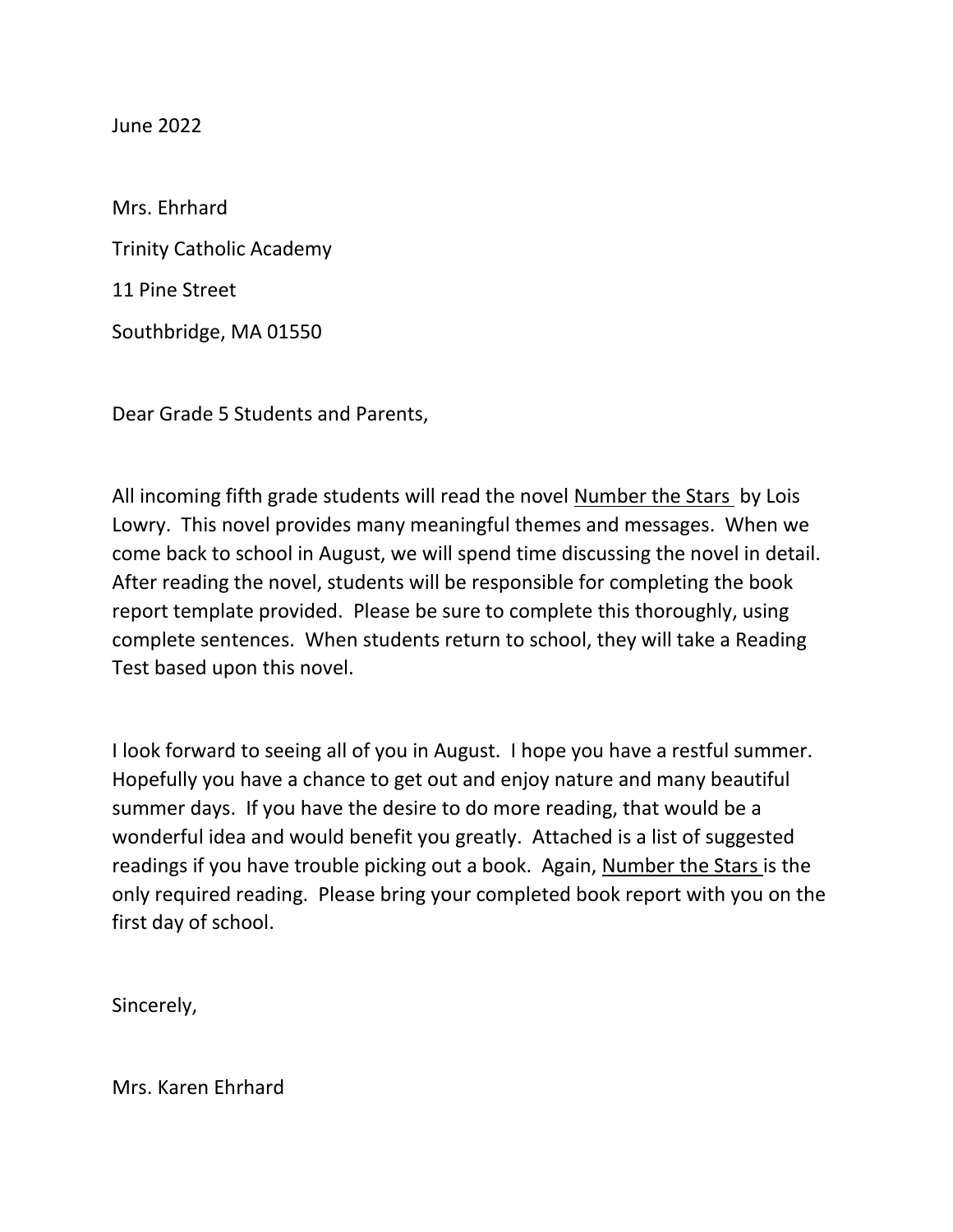June 2022

Mrs. Ehrhard Trinity Catholic Academy 11 Pine Street Southbridge, MA 01550

Dear Grade 5 Students and Parents,

All incoming fifth grade students will read the novel Number the Stars by Lois Lowry. This novel provides many meaningful themes and messages. When we come back to school in August, we will spend time discussing the novel in detail. After reading the novel, students will be responsible for completing the book report template provided. Please be sure to complete this thoroughly, using complete sentences. When students return to school, they will take a Reading Test based upon this novel.

I look forward to seeing all of you in August. I hope you have a restful summer. Hopefully you have a chance to get out and enjoy nature and many beautiful summer days. If you have the desire to do more reading, that would be a wonderful idea and would benefit you greatly. Attached is a list of suggested readings if you have trouble picking out a book. Again, Number the Stars is the only required reading. Please bring your completed book report with you on the first day of school.

Sincerely,

Mrs. Karen Ehrhard